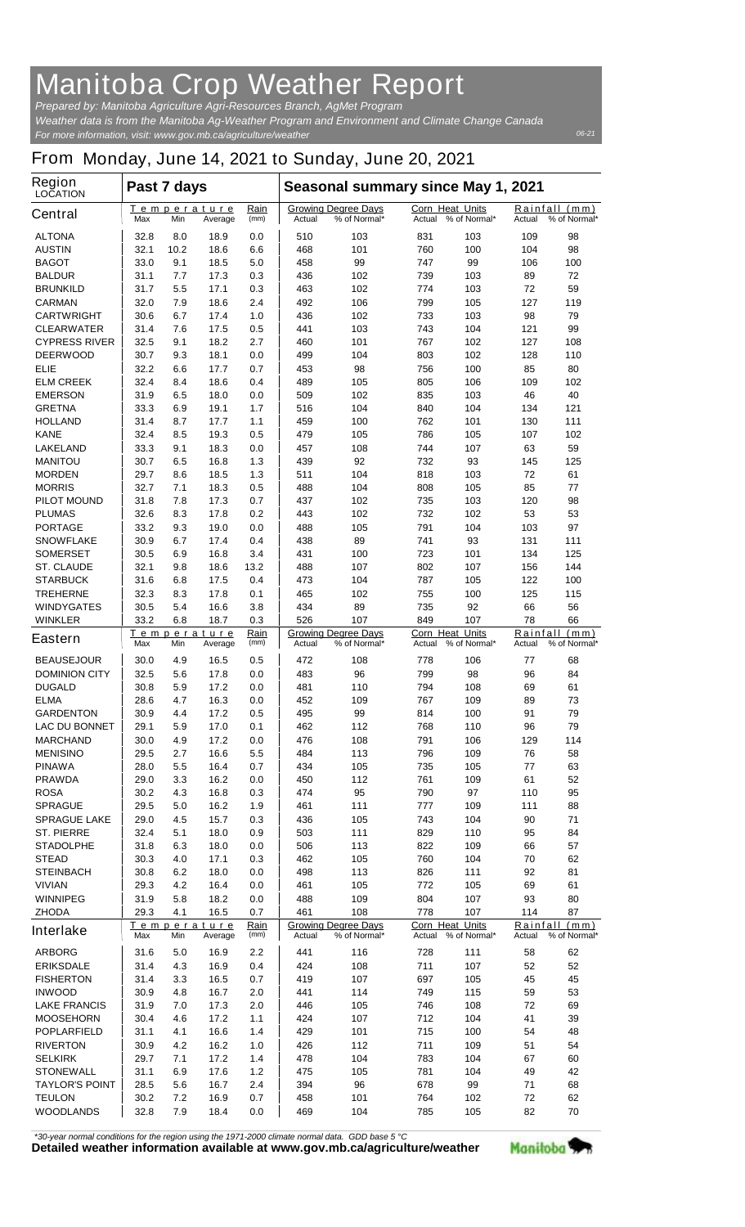## **Manitoba Crop Weather Report**

*For more information, visit: www.gov.mb.ca/agriculture/weather Prepared by: Manitoba Agriculture Agri-Resources Branch, AgMet Program Weather data is from the Manitoba Ag-Weather Program and Environment and Climate Change Canada*

## **From Monday, June 14, 2021 to Sunday, June 20, 2021**

| Region<br><b>LOCATION</b>                 | Past 7 days                                 |            |                        |                                                      | Seasonal summary since May 1, 2021 |                                            |                           |                                            |           |                               |  |
|-------------------------------------------|---------------------------------------------|------------|------------------------|------------------------------------------------------|------------------------------------|--------------------------------------------|---------------------------|--------------------------------------------|-----------|-------------------------------|--|
| <b>Central</b>                            | Max                                         | Min        | Temperature<br>Average | Rain<br>(mm)                                         | Actual                             | <b>Growing Degree Days</b><br>% of Normal* | Corn Heat Units<br>Actual | % of Normal*                               | Actual    | Rainfall (mm)<br>% of Normal* |  |
| <b>ALTONA</b>                             | 32.8                                        | 8.0        | 18.9                   | 0.0                                                  | 510                                | 103                                        | 831                       | 103                                        | 109       | 98                            |  |
| <b>AUSTIN</b>                             | 32.1                                        | 10.2       | 18.6                   | 6.6                                                  | 468                                | 101                                        | 760                       | 100                                        | 104       | 98                            |  |
| <b>BAGOT</b>                              | 33.0                                        | 9.1        | 18.5                   | 5.0                                                  | 458                                | 99                                         | 747                       | 99                                         | 106       | 100                           |  |
| <b>BALDUR</b>                             | 31.1                                        | 7.7        | 17.3                   | 0.3                                                  | 436                                | 102                                        | 739<br>774                | 103                                        | 89        | 72<br>59                      |  |
| <b>BRUNKILD</b><br><b>CARMAN</b>          | 31.7<br>32.0                                | 5.5<br>7.9 | 17.1<br>18.6           | 0.3<br>2.4                                           | 463<br>492                         | 102<br>106                                 | 799                       | 103<br>105                                 | 72<br>127 | 119                           |  |
| <b>CARTWRIGHT</b>                         | 30.6                                        | 6.7        | 17.4                   | 1.0                                                  | 436                                | 102                                        | 733                       | 103                                        | 98        | 79                            |  |
| <b>CLEARWATER</b>                         | 31.4                                        | 7.6        | 17.5                   | 0.5                                                  | 441                                | 103                                        | 743                       | 104                                        | 121       | 99                            |  |
| <b>CYPRESS RIVER</b>                      | 32.5                                        | 9.1        | 18.2                   | 2.7                                                  | 460                                | 101                                        | 767                       | 102                                        | 127       | 108                           |  |
| <b>DEERWOOD</b>                           | 30.7                                        | 9.3        | 18.1                   | 0.0                                                  | 499                                | 104                                        | 803                       | 102                                        | 128       | 110                           |  |
| ELIE                                      | 32.2                                        | 6.6        | 17.7                   | 0.7                                                  | 453                                | 98                                         | 756                       | 100                                        | 85        | 80                            |  |
| <b>ELM CREEK</b>                          | 32.4                                        | 8.4        | 18.6                   | 0.4                                                  | 489                                | 105                                        | 805                       | 106                                        | 109       | 102                           |  |
| <b>EMERSON</b>                            | 31.9                                        | 6.5        | 18.0                   | 0.0                                                  | 509                                | 102                                        | 835                       | 103                                        | 46        | 40                            |  |
| <b>GRETNA</b>                             | 33.3                                        | 6.9        | 19.1                   | 1.7                                                  | 516                                | 104                                        | 840                       | 104                                        | 134       | 121                           |  |
| <b>HOLLAND</b>                            | 31.4                                        | 8.7        | 17.7                   | 1.1                                                  | 459                                | 100                                        | 762                       | 101                                        | 130       | 111                           |  |
| <b>KANE</b>                               | 32.4                                        | 8.5        | 19.3                   | 0.5                                                  | 479                                | 105                                        | 786                       | 105                                        | 107       | 102                           |  |
| <b>LAKELAND</b>                           | 33.3                                        | 9.1        | 18.3                   | 0.0                                                  | 457                                | 108                                        | 744                       | 107                                        | 63        | 59                            |  |
| <b>MANITOU</b>                            | 30.7                                        | 6.5        | 16.8                   | 1.3                                                  | 439                                | 92                                         | 732                       | 93                                         | 145       | 125                           |  |
| <b>MORDEN</b><br><b>MORRIS</b>            | 29.7                                        | 8.6<br>7.1 | 18.5                   | 1.3<br>0.5                                           | 511                                | 104                                        | 818                       | 103<br>105                                 | 72<br>85  | 61<br>77                      |  |
| <b>PILOT MOUND</b>                        | 32.7<br>31.8                                | 7.8        | 18.3<br>17.3           | 0.7                                                  | 488<br>437                         | 104<br>102                                 | 808<br>735                | 103                                        | 120       | 98                            |  |
| <b>PLUMAS</b>                             | 32.6                                        | 8.3        | 17.8                   | 0.2                                                  | 443                                | 102                                        | 732                       | 102                                        | 53        | 53                            |  |
| <b>PORTAGE</b>                            | 33.2                                        | 9.3        | 19.0                   | 0.0                                                  | 488                                | 105                                        | 791                       | 104                                        | 103       | 97                            |  |
| <b>SNOWFLAKE</b>                          | 30.9                                        | 6.7        | 17.4                   | 0.4                                                  | 438                                | 89                                         | 741                       | 93                                         | 131       | 111                           |  |
| <b>SOMERSET</b>                           | 30.5                                        | 6.9        | 16.8                   | 3.4                                                  | 431                                | 100                                        | 723                       | 101                                        | 134       | 125                           |  |
| <b>ST. CLAUDE</b>                         | 32.1                                        | 9.8        | 18.6                   | 13.2                                                 | 488                                | 107                                        | 802                       | 107                                        | 156       | 144                           |  |
| <b>STARBUCK</b>                           | 31.6                                        | 6.8        | 17.5                   | 0.4                                                  | 473                                | 104                                        | 787                       | 105                                        | 122       | 100                           |  |
| <b>TREHERNE</b>                           | 32.3                                        | 8.3        | 17.8                   | 0.1                                                  | 465                                | 102                                        | 755                       | 100                                        | 125       | 115                           |  |
| <b>WINDYGATES</b>                         | 30.5                                        | 5.4        | 16.6                   | 3.8                                                  | 434                                | 89                                         | 735                       | 92                                         | 66        | 56                            |  |
| <b>WINKLER</b>                            | 33.2                                        | 6.8        | 18.7                   | 0.3                                                  | 526                                | 107                                        | 849                       | 107                                        | 78        | 66                            |  |
| <b>Eastern</b>                            | <u>Temperature</u><br>Min<br>Max<br>Average |            | Rain<br>(mm)           | <b>Growing Degree Days</b><br>% of Normal*<br>Actual |                                    | Corn Heat Units<br>% of Normal*<br>Actual  |                           | Rainfall<br>(mm)<br>% of Normal*<br>Actual |           |                               |  |
| <b>BEAUSEJOUR</b>                         | 30.0                                        | 4.9        | 16.5                   | 0.5                                                  | 472                                | 108                                        | 778                       | 106                                        | 77        | 68                            |  |
| <b>DOMINION CITY</b>                      | 32.5                                        | 5.6        | 17.8                   | 0.0                                                  | 483                                | 96                                         | 799                       | 98                                         | 96        | 84                            |  |
| <b>DUGALD</b>                             | 30.8                                        | 5.9        | 17.2                   | 0.0                                                  | 481                                | 110                                        | 794                       | 108                                        | 69        | 61                            |  |
| <b>ELMA</b>                               | 28.6                                        | 4.7        | 16.3                   | 0.0                                                  | 452                                | 109                                        | 767                       | 109                                        | 89        | 73                            |  |
| <b>GARDENTON</b>                          | 30.9                                        | 4.4        | 17.2                   | 0.5                                                  | 495                                | 99                                         | 814                       | 100                                        | 91        | 79                            |  |
| <b>LAC DU BONNET</b>                      | 29.1                                        | 5.9        | 17.0                   | 0.1                                                  | 462                                | 112                                        | 768                       | 110                                        | 96        | 79                            |  |
| <b>MARCHAND</b><br><b>MENISINO</b>        | 30.0                                        | 4.9        | 17.2                   | 0.0                                                  | 476                                | 108                                        | 791                       | 106                                        | 129       | 114                           |  |
| <b>PINAWA</b>                             | 29.5<br>28.0                                | 2.7<br>5.5 | 16.6<br>16.4           | 5.5<br>0.7                                           | 484<br>434                         | 113<br>105                                 | 796<br>735                | 109<br>105                                 | 76<br>77  | 58<br>63                      |  |
| <b>PRAWDA</b>                             | 29.0                                        | 3.3        | 16.2                   | 0.0                                                  | 450                                | 112                                        | 761                       | 109                                        | 61        | 52                            |  |
| <b>ROSA</b>                               | 30.2                                        | 4.3        | 16.8                   | 0.3                                                  | 474                                | 95                                         | 790                       | 97                                         | 110       | 95                            |  |
| <b>SPRAGUE</b>                            | 29.5                                        | 5.0        | 16.2                   | 1.9                                                  | 461                                | 111                                        | 777                       | 109                                        | 111       | 88                            |  |
| <b>SPRAGUE LAKE</b>                       | 29.0                                        | 4.5        | 15.7                   | 0.3                                                  | 436                                | 105                                        | 743                       | 104                                        | 90        | 71                            |  |
| <b>ST. PIERRE</b>                         | 32.4                                        | 5.1        | 18.0                   | 0.9                                                  | 503                                | 111                                        | 829                       | 110                                        | 95        | 84                            |  |
| <b>STADOLPHE</b>                          | 31.8                                        | 6.3        | 18.0                   | 0.0                                                  | 506                                | 113                                        | 822                       | 109                                        | 66        | 57                            |  |
| <b>STEAD</b>                              | 30.3                                        | 4.0        | 17.1                   | 0.3                                                  | 462                                | 105                                        | 760                       | 104                                        | 70        | 62                            |  |
| <b>STEINBACH</b>                          | 30.8                                        | 6.2        | 18.0                   | 0.0                                                  | 498                                | 113                                        | 826                       | 111                                        | 92        | 81                            |  |
| <b>VIVIAN</b>                             | 29.3                                        | 4.2        | 16.4                   | 0.0                                                  | 461                                | 105                                        | 772                       | 105                                        | 69        | 61                            |  |
| <b>WINNIPEG</b>                           | 31.9                                        | 5.8        | 18.2                   | 0.0                                                  | 488                                | 109                                        | 804                       | 107                                        | 93        | 80                            |  |
| <b>ZHODA</b>                              | 29.3                                        | 4.1        | 16.5                   | 0.7                                                  | 461                                | 108                                        | 778                       | 107                                        | 114       | 87                            |  |
| Interlake                                 | <u>Temperature</u><br>Min<br>Average<br>Max |            | Rain<br>(mm)           | <b>Growing Degree Days</b><br>% of Normal*<br>Actual |                                    | Corn Heat Units<br>Actual<br>% of Normal*  |                           | Rainfall (mm)<br>% of Normal*<br>Actual    |           |                               |  |
| <b>ARBORG</b>                             | 31.6                                        | 5.0        | 16.9                   | 2.2                                                  | 441                                | 116                                        | 728                       | 111                                        | 58        | 62                            |  |
| <b>ERIKSDALE</b>                          | 31.4                                        | 4.3        | 16.9                   | 0.4                                                  | 424                                | 108                                        | 711                       | 107                                        | 52        | 52                            |  |
| <b>FISHERTON</b>                          | 31.4                                        | 3.3        | 16.5                   | 0.7                                                  | 419                                | 107                                        | 697                       | 105                                        | 45        | 45                            |  |
| <b>INWOOD</b>                             | 30.9                                        | 4.8        | 16.7                   | 2.0                                                  | 441                                | 114                                        | 749                       | 115                                        | 59        | 53                            |  |
| <b>LAKE FRANCIS</b>                       | 31.9                                        | 7.0        | 17.3                   | 2.0                                                  | 446                                | 105                                        | 746                       | 108                                        | 72        | 69                            |  |
| <b>MOOSEHORN</b>                          | 30.4                                        | 4.6        | 17.2                   | 1.1                                                  | 424                                | 107                                        | 712                       | 104                                        | 41        | 39                            |  |
| <b>POPLARFIELD</b>                        | 31.1                                        | 4.1        | 16.6                   | 1.4                                                  | 429                                | 101                                        | 715                       | 100                                        | 54        | 48                            |  |
| <b>RIVERTON</b>                           | 30.9                                        | 4.2        | 16.2                   | 1.0                                                  | 426                                | 112                                        | 711                       | 109                                        | 51        | 54                            |  |
| <b>SELKIRK</b>                            | 29.7                                        | 7.1        | 17.2                   | 1.4                                                  | 478                                | 104                                        | 783                       | 104                                        | 67        | 60                            |  |
| <b>STONEWALL</b><br><b>TAYLOR'S POINT</b> | 31.1<br>28.5                                | 6.9<br>5.6 | 17.6<br>16.7           | 1.2<br>2.4                                           | 475<br>394                         | 105<br>96                                  | 781<br>678                | 104<br>99                                  | 49<br>71  | 42<br>68                      |  |
| <b>TEULON</b>                             | 30.2                                        | 7.2        | 16.9                   | 0.7                                                  | 458                                | 101                                        | 764                       | 102                                        | 72        | 62                            |  |
| <b>WOODLANDS</b>                          | 32.8                                        | 7.9        | 18.4                   | 0.0                                                  | 469                                | 104                                        | 785                       | 105                                        | 82        | 70                            |  |
|                                           |                                             |            |                        |                                                      |                                    |                                            |                           |                                            |           |                               |  |

*\*30-year normal conditions for the region using the 1971-2000 climate normal data. GDD base 5 °C*<br>Detailed weather information available at www.gov.mb.ca/agriculture/weather